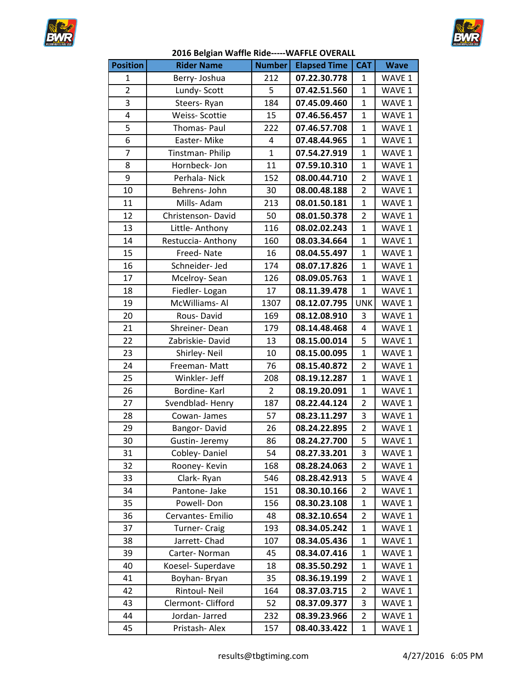



| <b>Position</b> | <b>Rider Name</b>    | <b>Number</b>  | <b>Elapsed Time</b> | <b>CAT</b>     | <b>Wave</b> |
|-----------------|----------------------|----------------|---------------------|----------------|-------------|
| 1               | Berry-Joshua         | 212            | 07.22.30.778        | $\mathbf{1}$   | WAVE 1      |
| $\overline{2}$  | Lundy-Scott          | 5              | 07.42.51.560        | $\mathbf{1}$   | WAVE 1      |
| 3               | Steers-Ryan          | 184            | 07.45.09.460        | $\mathbf{1}$   | WAVE 1      |
| $\overline{4}$  | Weiss-Scottie        | 15             | 07.46.56.457        | $\mathbf{1}$   | WAVE 1      |
| 5               | Thomas- Paul         | 222            | 07.46.57.708        | $\mathbf{1}$   | WAVE 1      |
| 6               | Easter-Mike          | 4              | 07.48.44.965        | $\mathbf{1}$   | WAVE 1      |
| $\overline{7}$  | Tinstman-Philip      | $\mathbf{1}$   | 07.54.27.919        | $\mathbf{1}$   | WAVE 1      |
| 8               | Hornbeck-Jon         | 11             | 07.59.10.310        | $\mathbf{1}$   | WAVE 1      |
| 9               | Perhala-Nick         | 152            | 08.00.44.710        | $\overline{2}$ | WAVE 1      |
| 10              | Behrens- John        | 30             | 08.00.48.188        | $\overline{2}$ | WAVE 1      |
| 11              | Mills-Adam           | 213            | 08.01.50.181        | $\mathbf{1}$   | WAVE 1      |
| 12              | Christenson-David    | 50             | 08.01.50.378        | $\overline{2}$ | WAVE 1      |
| 13              | Little- Anthony      | 116            | 08.02.02.243        | $\mathbf{1}$   | WAVE 1      |
| 14              | Restuccia-Anthony    | 160            | 08.03.34.664        | $\mathbf{1}$   | WAVE 1      |
| 15              | Freed-Nate           | 16             | 08.04.55.497        | $\mathbf{1}$   | WAVE 1      |
| 16              | Schneider- Jed       | 174            | 08.07.17.826        | $\mathbf{1}$   | WAVE 1      |
| 17              | Mcelroy-Sean         | 126            | 08.09.05.763        | $\mathbf{1}$   | WAVE 1      |
| 18              | Fiedler-Logan        | 17             | 08.11.39.478        | $\mathbf{1}$   | WAVE 1      |
| 19              | McWilliams-Al        | 1307           | 08.12.07.795        | <b>UNK</b>     | WAVE 1      |
| 20              | Rous-David           | 169            | 08.12.08.910        | 3              | WAVE 1      |
| 21              | Shreiner-Dean        | 179            | 08.14.48.468        | 4              | WAVE 1      |
| 22              | Zabriskie-David      | 13             | 08.15.00.014        | 5              | WAVE 1      |
| 23              | Shirley-Neil         | 10             | 08.15.00.095        | $\mathbf{1}$   | WAVE 1      |
| 24              | Freeman-Matt         | 76             | 08.15.40.872        | $\overline{2}$ | WAVE 1      |
| 25              | Winkler- Jeff        | 208            | 08.19.12.287        | $\mathbf{1}$   | WAVE 1      |
| 26              | Bordine-Karl         | $\overline{2}$ | 08.19.20.091        | $\mathbf{1}$   | WAVE 1      |
| 27              | Svendblad-Henry      | 187            | 08.22.44.124        | $\overline{2}$ | WAVE 1      |
| 28              | Cowan-James          | 57             | 08.23.11.297        | 3              | WAVE 1      |
| 29              | Bangor-David         | 26             | 08.24.22.895        | $\overline{2}$ | WAVE 1      |
| 30              | Gustin- Jeremy       | 86             | 08.24.27.700        | $\overline{5}$ | WAVE 1      |
| 31              | Cobley-Daniel        | 54             | 08.27.33.201        | 3              | WAVE 1      |
| 32              | Rooney-Kevin         | 168            | 08.28.24.063        | 2              | WAVE 1      |
| 33              | Clark-Ryan           | 546            | 08.28.42.913        | 5              | WAVE 4      |
| 34              | Pantone- Jake        | 151            | 08.30.10.166        | $\overline{2}$ | WAVE 1      |
| 35              | Powell-Don           | 156            | 08.30.23.108        | $\mathbf{1}$   | WAVE 1      |
| 36              | Cervantes-Emilio     | 48             | 08.32.10.654        | 2              | WAVE 1      |
| 37              | <b>Turner- Craig</b> | 193            | 08.34.05.242        | $\mathbf{1}$   | WAVE 1      |
| 38              | Jarrett-Chad         | 107            | 08.34.05.436        | $\mathbf{1}$   | WAVE 1      |
| 39              | Carter-Norman        | 45             | 08.34.07.416        | $\mathbf{1}$   | WAVE 1      |
| 40              | Koesel- Superdave    | 18             | 08.35.50.292        | 1              | WAVE 1      |
| 41              | Boyhan-Bryan         | 35             | 08.36.19.199        | 2              | WAVE 1      |
| 42              | Rintoul- Neil        | 164            | 08.37.03.715        | 2              | WAVE 1      |
| 43              | Clermont-Clifford    | 52             | 08.37.09.377        | 3              | WAVE 1      |
| 44              | Jordan-Jarred        | 232            | 08.39.23.966        | 2              | WAVE 1      |
| 45              | Pristash-Alex        | 157            | 08.40.33.422        | $\mathbf{1}$   | WAVE 1      |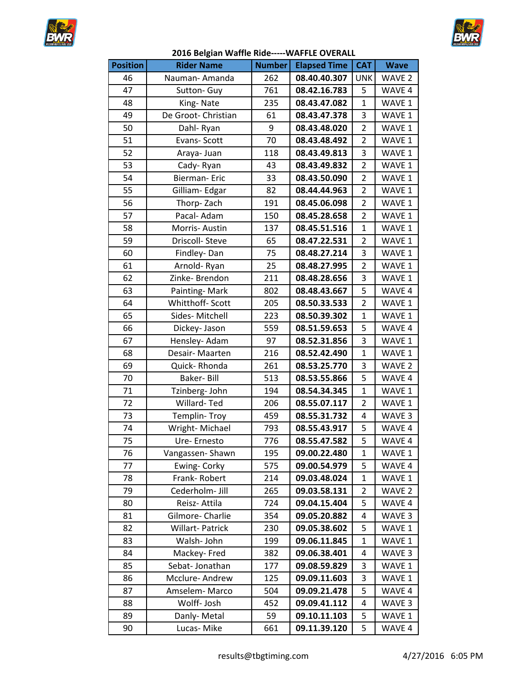



| <b>Position</b> | <b>Rider Name</b>   | <b>Number</b> | <b>Elapsed Time</b> | <b>CAT</b>     | <b>Wave</b>       |
|-----------------|---------------------|---------------|---------------------|----------------|-------------------|
| 46              | Nauman-Amanda       | 262           | 08.40.40.307        | <b>UNK</b>     | WAVE <sub>2</sub> |
| 47              | Sutton- Guy         | 761           | 08.42.16.783        | 5              | WAVE 4            |
| 48              | King-Nate           | 235           | 08.43.47.082        | $\mathbf 1$    | WAVE 1            |
| 49              | De Groot- Christian | 61            | 08.43.47.378        | 3              | WAVE 1            |
| 50              | Dahl-Ryan           | 9             | 08.43.48.020        | $\overline{2}$ | WAVE 1            |
| 51              | Evans-Scott         | 70            | 08.43.48.492        | $\overline{2}$ | WAVE 1            |
| 52              | Araya- Juan         | 118           | 08.43.49.813        | 3              | WAVE 1            |
| 53              | Cady-Ryan           | 43            | 08.43.49.832        | $\overline{2}$ | WAVE 1            |
| 54              | Bierman-Eric        | 33            | 08.43.50.090        | $\overline{2}$ | WAVE 1            |
| 55              | Gilliam-Edgar       | 82            | 08.44.44.963        | $\overline{2}$ | WAVE 1            |
| 56              | Thorp-Zach          | 191           | 08.45.06.098        | 2              | WAVE 1            |
| 57              | Pacal- Adam         | 150           | 08.45.28.658        | $\overline{2}$ | WAVE 1            |
| 58              | Morris-Austin       | 137           | 08.45.51.516        | $\mathbf{1}$   | WAVE 1            |
| 59              | Driscoll-Steve      | 65            | 08.47.22.531        | $\overline{2}$ | WAVE 1            |
| 60              | Findley-Dan         | 75            | 08.48.27.214        | 3              | WAVE 1            |
| 61              | Arnold-Ryan         | 25            | 08.48.27.995        | $\overline{2}$ | WAVE 1            |
| 62              | Zinke-Brendon       | 211           | 08.48.28.656        | 3              | WAVE 1            |
| 63              | Painting-Mark       | 802           | 08.48.43.667        | 5              | WAVE 4            |
| 64              | Whitthoff- Scott    | 205           | 08.50.33.533        | $\overline{2}$ | WAVE 1            |
| 65              | Sides-Mitchell      | 223           | 08.50.39.302        | $\mathbf{1}$   | WAVE 1            |
| 66              | Dickey- Jason       | 559           | 08.51.59.653        | 5              | WAVE 4            |
| 67              | Hensley- Adam       | 97            | 08.52.31.856        | 3              | WAVE 1            |
| 68              | Desair- Maarten     | 216           | 08.52.42.490        | $\mathbf{1}$   | WAVE 1            |
| 69              | Quick-Rhonda        | 261           | 08.53.25.770        | 3              | WAVE <sub>2</sub> |
| 70              | Baker-Bill          | 513           | 08.53.55.866        | 5              | WAVE 4            |
| 71              | Tzinberg- John      | 194           | 08.54.34.345        | $\mathbf{1}$   | WAVE 1            |
| 72              | Willard-Ted         | 206           | 08.55.07.117        | $\overline{2}$ | WAVE 1            |
| 73              | Templin-Troy        | 459           | 08.55.31.732        | 4              | WAVE 3            |
| 74              | Wright-Michael      | 793           | 08.55.43.917        | 5              | WAVE 4            |
| 75              | Ure-Ernesto         | 776           | 08.55.47.582        | $\overline{5}$ | WAVE 4            |
| 76              | Vangassen-Shawn     | 195           | 09.00.22.480        | 1              | WAVE 1            |
| 77              | Ewing- Corky        | 575           | 09.00.54.979        | 5              | WAVE 4            |
| 78              | Frank-Robert        | 214           | 09.03.48.024        | $\mathbf{1}$   | WAVE 1            |
| 79              | Cederholm- Jill     | 265           | 09.03.58.131        | $\overline{2}$ | WAVE 2            |
| 80              | Reisz- Attila       | 724           | 09.04.15.404        | 5              | WAVE 4            |
| 81              | Gilmore- Charlie    | 354           | 09.05.20.882        | 4              | WAVE 3            |
| 82              | Willart-Patrick     | 230           | 09.05.38.602        | 5              | WAVE 1            |
| 83              | Walsh-John          | 199           | 09.06.11.845        | 1              | WAVE 1            |
| 84              | Mackey-Fred         | 382           | 09.06.38.401        | 4              | WAVE 3            |
| 85              | Sebat-Jonathan      | 177           | 09.08.59.829        | 3              | WAVE 1            |
| 86              | Mcclure-Andrew      | 125           | 09.09.11.603        | 3              | WAVE 1            |
| 87              | Amselem-Marco       | 504           | 09.09.21.478        | 5              | WAVE 4            |
| 88              | Wolff- Josh         | 452           | 09.09.41.112        | 4              | WAVE <sub>3</sub> |
| 89              | Danly-Metal         | 59            | 09.10.11.103        | 5              | WAVE 1            |
| 90              | Lucas-Mike          | 661           | 09.11.39.120        | 5              | WAVE 4            |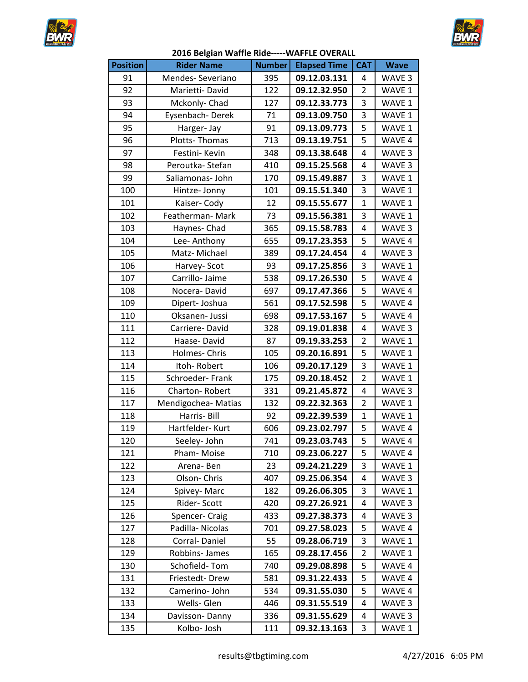



| <b>Position</b> | <b>Rider Name</b>  | <b>Number</b> | <b>Elapsed Time</b> | <b>CAT</b>     | <b>Wave</b>       |
|-----------------|--------------------|---------------|---------------------|----------------|-------------------|
| 91              | Mendes-Severiano   | 395           | 09.12.03.131        | 4              | WAVE 3            |
| 92              | Marietti-David     | 122           | 09.12.32.950        | $\overline{2}$ | WAVE 1            |
| 93              | Mckonly-Chad       | 127           | 09.12.33.773        | 3              | WAVE 1            |
| 94              | Eysenbach-Derek    | 71            | 09.13.09.750        | 3              | WAVE 1            |
| 95              | Harger-Jay         | 91            | 09.13.09.773        | 5              | WAVE 1            |
| 96              | Plotts-Thomas      | 713           | 09.13.19.751        | 5              | WAVE 4            |
| 97              | Festini- Kevin     | 348           | 09.13.38.648        | 4              | WAVE 3            |
| 98              | Peroutka-Stefan    | 410           | 09.15.25.568        | 4              | WAVE 3            |
| 99              | Saliamonas- John   | 170           | 09.15.49.887        | 3              | WAVE 1            |
| 100             | Hintze- Jonny      | 101           | 09.15.51.340        | 3              | WAVE 1            |
| 101             | Kaiser-Cody        | 12            | 09.15.55.677        | $\mathbf{1}$   | WAVE 1            |
| 102             | Featherman-Mark    | 73            | 09.15.56.381        | 3              | WAVE 1            |
| 103             | Haynes- Chad       | 365           | 09.15.58.783        | 4              | WAVE 3            |
| 104             | Lee-Anthony        | 655           | 09.17.23.353        | 5              | WAVE 4            |
| 105             | Matz-Michael       | 389           | 09.17.24.454        | 4              | WAVE 3            |
| 106             | Harvey-Scot        | 93            | 09.17.25.856        | 3              | WAVE 1            |
| 107             | Carrillo- Jaime    | 538           | 09.17.26.530        | 5              | WAVE 4            |
| 108             | Nocera-David       | 697           | 09.17.47.366        | 5              | WAVE 4            |
| 109             | Dipert-Joshua      | 561           | 09.17.52.598        | 5              | WAVE 4            |
| 110             | Oksanen- Jussi     | 698           | 09.17.53.167        | 5              | WAVE 4            |
| 111             | Carriere-David     | 328           | 09.19.01.838        | 4              | WAVE 3            |
| 112             | Haase-David        | 87            | 09.19.33.253        | $\overline{2}$ | WAVE 1            |
| 113             | Holmes-Chris       | 105           | 09.20.16.891        | 5              | WAVE 1            |
| 114             | Itoh-Robert        | 106           | 09.20.17.129        | 3              | WAVE 1            |
| 115             | Schroeder-Frank    | 175           | 09.20.18.452        | $\overline{2}$ | WAVE 1            |
| 116             | Charton-Robert     | 331           | 09.21.45.872        | 4              | WAVE 3            |
| 117             | Mendigochea-Matias | 132           | 09.22.32.363        | $\overline{2}$ | WAVE 1            |
| 118             | Harris-Bill        | 92            | 09.22.39.539        | 1              | WAVE 1            |
| 119             | Hartfelder- Kurt   | 606           | 09.23.02.797        | 5              | WAVE 4            |
| 120             | Seeley- John       | 741           | 09.23.03.743        | $\overline{5}$ | WAVE 4            |
| 121             | Pham-Moise         | 710           | 09.23.06.227        | 5              | WAVE 4            |
| 122             | Arena-Ben          | 23            | 09.24.21.229        | 3              | WAVE 1            |
| 123             | Olson- Chris       | 407           | 09.25.06.354        | 4              | WAVE <sub>3</sub> |
| 124             | Spivey-Marc        | 182           | 09.26.06.305        | 3              | WAVE 1            |
| 125             | Rider-Scott        | 420           | 09.27.26.921        | 4              | WAVE 3            |
| 126             | Spencer- Craig     | 433           | 09.27.38.373        | 4              | WAVE 3            |
| 127             | Padilla-Nicolas    | 701           | 09.27.58.023        | 5              | WAVE 4            |
| 128             | Corral-Daniel      | 55            | 09.28.06.719        | 3              | WAVE 1            |
| 129             | Robbins-James      | 165           | 09.28.17.456        | 2              | WAVE 1            |
| 130             | Schofield-Tom      | 740           | 09.29.08.898        | 5              | WAVE 4            |
| 131             | Friestedt-Drew     | 581           | 09.31.22.433        | 5              | WAVE 4            |
| 132             | Camerino-John      | 534           | 09.31.55.030        | 5              | WAVE 4            |
| 133             | Wells- Glen        | 446           | 09.31.55.519        | 4              | WAVE 3            |
| 134             | Davisson-Danny     | 336           | 09.31.55.629        | 4              | WAVE 3            |
| 135             | Kolbo- Josh        | 111           | 09.32.13.163        | 3              | WAVE 1            |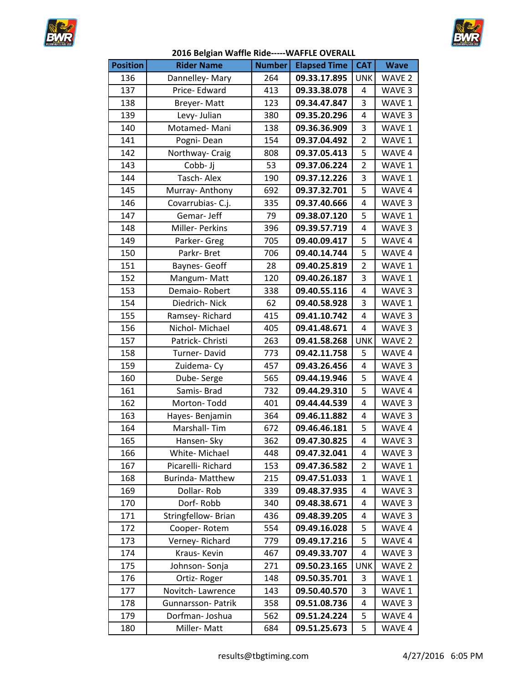



| <b>Position</b> | <b>Rider Name</b>        | <b>Number</b> | <b>Elapsed Time</b> | <b>CAT</b>     | <b>Wave</b>       |
|-----------------|--------------------------|---------------|---------------------|----------------|-------------------|
| 136             | Dannelley-Mary           | 264           | 09.33.17.895        | <b>UNK</b>     | WAVE 2            |
| 137             | Price-Edward             | 413           | 09.33.38.078        | 4              | WAVE 3            |
| 138             | Breyer-Matt              | 123           | 09.34.47.847        | 3              | WAVE 1            |
| 139             | Levy- Julian             | 380           | 09.35.20.296        | 4              | WAVE 3            |
| 140             | Motamed-Mani             | 138           | 09.36.36.909        | 3              | WAVE 1            |
| 141             | Pogni-Dean               | 154           | 09.37.04.492        | $\overline{2}$ | WAVE 1            |
| 142             | Northway- Craig          | 808           | 09.37.05.413        | 5              | WAVE 4            |
| 143             | Cobb- Jj                 | 53            | 09.37.06.224        | $\overline{2}$ | WAVE 1            |
| 144             | Tasch-Alex               | 190           | 09.37.12.226        | 3              | WAVE 1            |
| 145             | Murray-Anthony           | 692           | 09.37.32.701        | 5              | WAVE 4            |
| 146             | Covarrubias-C.j.         | 335           | 09.37.40.666        | 4              | WAVE 3            |
| 147             | Gemar-Jeff               | 79            | 09.38.07.120        | 5              | WAVE 1            |
| 148             | Miller- Perkins          | 396           | 09.39.57.719        | 4              | WAVE 3            |
| 149             | Parker- Greg             | 705           | 09.40.09.417        | 5              | WAVE 4            |
| 150             | Parkr-Bret               | 706           | 09.40.14.744        | 5              | WAVE 4            |
| 151             | <b>Baynes- Geoff</b>     | 28            | 09.40.25.819        | $\overline{2}$ | WAVE 1            |
| 152             | Mangum-Matt              | 120           | 09.40.26.187        | 3              | WAVE 1            |
| 153             | Demaio-Robert            | 338           | 09.40.55.116        | 4              | WAVE 3            |
| 154             | Diedrich-Nick            | 62            | 09.40.58.928        | 3              | WAVE 1            |
| 155             | Ramsey-Richard           | 415           | 09.41.10.742        | 4              | WAVE 3            |
| 156             | Nichol- Michael          | 405           | 09.41.48.671        | 4              | WAVE 3            |
| 157             | Patrick- Christi         | 263           | 09.41.58.268        | <b>UNK</b>     | WAVE <sub>2</sub> |
| 158             | Turner-David             | 773           | 09.42.11.758        | 5              | WAVE 4            |
| 159             | Zuidema-Cy               | 457           | 09.43.26.456        | 4              | WAVE 3            |
| 160             | Dube-Serge               | 565           | 09.44.19.946        | 5              | WAVE 4            |
| 161             | Samis-Brad               | 732           | 09.44.29.310        | 5              | WAVE 4            |
| 162             | Morton-Todd              | 401           | 09.44.44.539        | 4              | WAVE 3            |
| 163             | Hayes-Benjamin           | 364           | 09.46.11.882        | 4              | WAVE 3            |
| 164             | Marshall-Tim             | 672           | 09.46.46.181        | 5              | WAVE 4            |
| 165             | Hansen- Sky              | 362           | 09.47.30.825        | $\overline{4}$ | WAVE 3            |
| 166             | White-Michael            | 448           | 09.47.32.041        | 4              | WAVE 3            |
| 167             | Picarelli-Richard        | 153           | 09.47.36.582        | 2              | WAVE 1            |
| 168             | <b>Burinda- Matthew</b>  | 215           | 09.47.51.033        | 1              | WAVE 1            |
| 169             | Dollar-Rob               | 339           | 09.48.37.935        | 4              | WAVE 3            |
| 170             | Dorf-Robb                | 340           | 09.48.38.671        | 4              | WAVE 3            |
| 171             | Stringfellow- Brian      | 436           | 09.48.39.205        | 4              | WAVE <sub>3</sub> |
| 172             | Cooper-Rotem             | 554           | 09.49.16.028        | 5              | WAVE 4            |
| 173             | Verney-Richard           | 779           | 09.49.17.216        | 5              | WAVE 4            |
| 174             | Kraus-Kevin              | 467           | 09.49.33.707        | 4              | WAVE 3            |
| 175             | Johnson-Sonja            | 271           | 09.50.23.165        | <b>UNK</b>     | WAVE 2            |
| 176             | Ortiz-Roger              | 148           | 09.50.35.701        | 3              | WAVE 1            |
| 177             | Novitch-Lawrence         | 143           | 09.50.40.570        | 3              | WAVE 1            |
| 178             | <b>Gunnarsson-Patrik</b> | 358           | 09.51.08.736        | 4              | WAVE 3            |
| 179             | Dorfman-Joshua           | 562           | 09.51.24.224        | 5              | WAVE 4            |
| 180             | Miller-Matt              | 684           | 09.51.25.673        | 5              | WAVE 4            |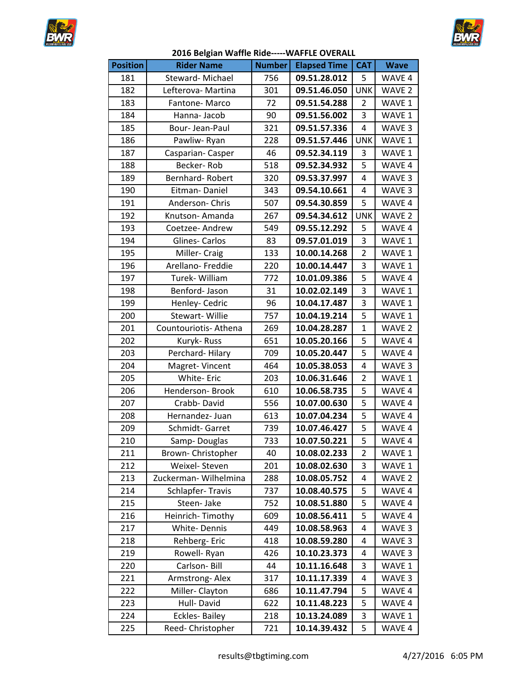



| <b>Position</b> | <b>Rider Name</b>     | <b>Number</b> | <b>Elapsed Time</b> | <b>CAT</b>     | <b>Wave</b>       |
|-----------------|-----------------------|---------------|---------------------|----------------|-------------------|
| 181             | Steward-Michael       | 756           | 09.51.28.012        | 5              | WAVE 4            |
| 182             | Lefterova- Martina    | 301           | 09.51.46.050        | <b>UNK</b>     | WAVE 2            |
| 183             | Fantone-Marco         | 72            | 09.51.54.288        | 2              | WAVE 1            |
| 184             | Hanna-Jacob           | 90            | 09.51.56.002        | 3              | WAVE 1            |
| 185             | Bour-Jean-Paul        | 321           | 09.51.57.336        | $\overline{4}$ | WAVE 3            |
| 186             | Pawliw-Ryan           | 228           | 09.51.57.446        | <b>UNK</b>     | WAVE 1            |
| 187             | Casparian-Casper      | 46            | 09.52.34.119        | 3              | WAVE 1            |
| 188             | Becker-Rob            | 518           | 09.52.34.932        | 5              | WAVE 4            |
| 189             | Bernhard-Robert       | 320           | 09.53.37.997        | 4              | WAVE 3            |
| 190             | Eitman-Daniel         | 343           | 09.54.10.661        | 4              | WAVE 3            |
| 191             | Anderson-Chris        | 507           | 09.54.30.859        | 5              | WAVE 4            |
| 192             | Knutson-Amanda        | 267           | 09.54.34.612        | <b>UNK</b>     | WAVE <sub>2</sub> |
| 193             | Coetzee- Andrew       | 549           | 09.55.12.292        | 5              | WAVE 4            |
| 194             | Glines-Carlos         | 83            | 09.57.01.019        | 3              | WAVE 1            |
| 195             | Miller-Craig          | 133           | 10.00.14.268        | $\overline{2}$ | WAVE 1            |
| 196             | Arellano-Freddie      | 220           | 10.00.14.447        | 3              | WAVE 1            |
| 197             | Turek- William        | 772           | 10.01.09.386        | 5              | WAVE 4            |
| 198             | Benford-Jason         | 31            | 10.02.02.149        | 3              | WAVE 1            |
| 199             | Henley- Cedric        | 96            | 10.04.17.487        | 3              | WAVE 1            |
| 200             | <b>Stewart-Willie</b> | 757           | 10.04.19.214        | 5              | WAVE 1            |
| 201             | Countouriotis-Athena  | 269           | 10.04.28.287        | $\mathbf{1}$   | WAVE 2            |
| 202             | Kuryk-Russ            | 651           | 10.05.20.166        | 5              | WAVE 4            |
| 203             | Perchard-Hilary       | 709           | 10.05.20.447        | 5              | WAVE 4            |
| 204             | Magret-Vincent        | 464           | 10.05.38.053        | 4              | WAVE 3            |
| 205             | White- Eric           | 203           | 10.06.31.646        | $\overline{2}$ | WAVE 1            |
| 206             | Henderson- Brook      | 610           | 10.06.58.735        | 5              | WAVE 4            |
| 207             | Crabb-David           | 556           | 10.07.00.630        | 5              | WAVE 4            |
| 208             | Hernandez- Juan       | 613           | 10.07.04.234        | 5              | WAVE 4            |
| 209             | Schmidt-Garret        | 739           | 10.07.46.427        | 5              | WAVE 4            |
| 210             | Samp-Douglas          | 733           | 10.07.50.221        | $\overline{5}$ | WAVE 4            |
| 211             | Brown- Christopher    | 40            | 10.08.02.233        | 2              | WAVE 1            |
| 212             | Weixel-Steven         | 201           | 10.08.02.630        | 3              | WAVE 1            |
| 213             | Zuckerman-Wilhelmina  | 288           | 10.08.05.752        | 4              | WAVE 2            |
| 214             | Schlapfer-Travis      | 737           | 10.08.40.575        | 5              | WAVE 4            |
| 215             | Steen-Jake            | 752           | 10.08.51.880        | 5              | WAVE 4            |
| 216             | Heinrich-Timothy      | 609           | 10.08.56.411        | 5              | WAVE 4            |
| 217             | White-Dennis          | 449           | 10.08.58.963        | 4              | WAVE 3            |
| 218             | Rehberg-Eric          | 418           | 10.08.59.280        | 4              | WAVE 3            |
| 219             | Rowell-Ryan           | 426           | 10.10.23.373        | 4              | WAVE 3            |
| 220             | Carlson-Bill          | 44            | 10.11.16.648        | 3              | WAVE 1            |
| 221             | Armstrong-Alex        | 317           | 10.11.17.339        | 4              | WAVE 3            |
| 222             | Miller-Clayton        | 686           | 10.11.47.794        | 5              | WAVE 4            |
| 223             | Hull-David            | 622           | 10.11.48.223        | 5              | WAVE 4            |
| 224             | <b>Eckles-Bailey</b>  | 218           | 10.13.24.089        | 3              | WAVE 1            |
| 225             | Reed- Christopher     | 721           | 10.14.39.432        | 5              | WAVE 4            |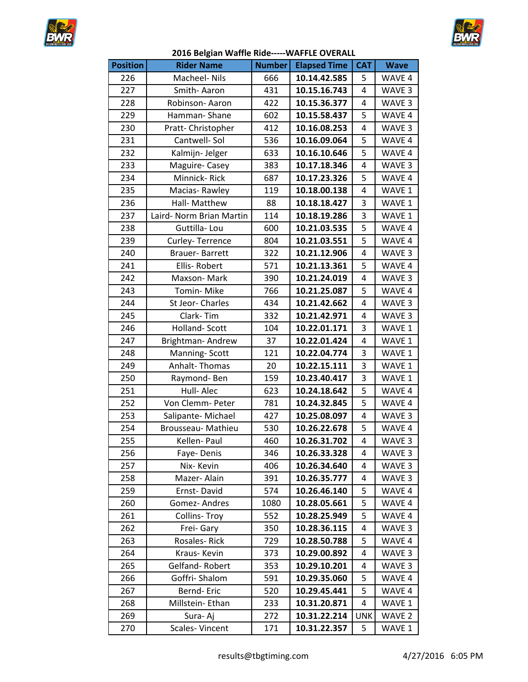



| <b>Position</b> | <b>Rider Name</b>        | <b>Number</b> | <b>Elapsed Time</b> | <b>CAT</b> | <b>Wave</b> |
|-----------------|--------------------------|---------------|---------------------|------------|-------------|
| 226             | Macheel- Nils            | 666           | 10.14.42.585        | 5          | WAVE 4      |
| 227             | Smith-Aaron              | 431           | 10.15.16.743        | 4          | WAVE 3      |
| 228             | Robinson-Aaron           | 422           | 10.15.36.377        | 4          | WAVE 3      |
| 229             | Hamman-Shane             | 602           | 10.15.58.437        | 5          | WAVE 4      |
| 230             | Pratt- Christopher       | 412           | 10.16.08.253        | 4          | WAVE 3      |
| 231             | Cantwell-Sol             | 536           | 10.16.09.064        | 5          | WAVE 4      |
| 232             | Kalmijn- Jelger          | 633           | 10.16.10.646        | 5          | WAVE 4      |
| 233             | Maguire-Casey            | 383           | 10.17.18.346        | 4          | WAVE 3      |
| 234             | Minnick-Rick             | 687           | 10.17.23.326        | 5          | WAVE 4      |
| 235             | Macias-Rawley            | 119           | 10.18.00.138        | 4          | WAVE 1      |
| 236             | Hall- Matthew            | 88            | 10.18.18.427        | 3          | WAVE 1      |
| 237             | Laird- Norm Brian Martin | 114           | 10.18.19.286        | 3          | WAVE 1      |
| 238             | Guttilla-Lou             | 600           | 10.21.03.535        | 5          | WAVE 4      |
| 239             | Curley-Terrence          | 804           | 10.21.03.551        | 5          | WAVE 4      |
| 240             | Brauer-Barrett           | 322           | 10.21.12.906        | 4          | WAVE 3      |
| 241             | Ellis-Robert             | 571           | 10.21.13.361        | 5          | WAVE 4      |
| 242             | Maxson-Mark              | 390           | 10.21.24.019        | 4          | WAVE 3      |
| 243             | Tomin-Mike               | 766           | 10.21.25.087        | 5          | WAVE 4      |
| 244             | St Jeor-Charles          | 434           | 10.21.42.662        | 4          | WAVE 3      |
| 245             | Clark-Tim                | 332           | 10.21.42.971        | 4          | WAVE 3      |
| 246             | Holland-Scott            | 104           | 10.22.01.171        | 3          | WAVE 1      |
| 247             | Brightman-Andrew         | 37            | 10.22.01.424        | 4          | WAVE 1      |
| 248             | Manning-Scott            | 121           | 10.22.04.774        | 3          | WAVE 1      |
| 249             | Anhalt-Thomas            | 20            | 10.22.15.111        | 3          | WAVE 1      |
| 250             | Raymond-Ben              | 159           | 10.23.40.417        | 3          | WAVE 1      |
| 251             | Hull-Alec                | 623           | 10.24.18.642        | 5          | WAVE 4      |
| 252             | Von Clemm- Peter         | 781           | 10.24.32.845        | 5          | WAVE 4      |
| 253             | Salipante-Michael        | 427           | 10.25.08.097        | 4          | WAVE 3      |
| 254             | Brousseau- Mathieu       | 530           | 10.26.22.678        | 5          | WAVE 4      |
| 255             | Kellen-Paul              | 460           | 10.26.31.702        | 4          | WAVE 3      |
| 256             | Faye-Denis               | 346           | 10.26.33.328        | 4          | WAVE 3      |
| 257             | Nix-Kevin                | 406           | 10.26.34.640        | 4          | WAVE 3      |
| 258             | Mazer-Alain              | 391           | 10.26.35.777        | 4          | WAVE 3      |
| 259             | Ernst-David              | 574           | 10.26.46.140        | 5          | WAVE 4      |
| 260             | Gomez-Andres             | 1080          | 10.28.05.661        | 5          | WAVE 4      |
| 261             | <b>Collins-Troy</b>      | 552           | 10.28.25.949        | 5          | WAVE 4      |
| 262             | Frei- Gary               | 350           | 10.28.36.115        | 4          | WAVE 3      |
| 263             | Rosales-Rick             | 729           | 10.28.50.788        | 5          | WAVE 4      |
| 264             | Kraus-Kevin              | 373           | 10.29.00.892        | 4          | WAVE 3      |
| 265             | Gelfand-Robert           | 353           | 10.29.10.201        | 4          | WAVE 3      |
| 266             | Goffri-Shalom            | 591           | 10.29.35.060        | 5          | WAVE 4      |
| 267             | Bernd-Eric               | 520           | 10.29.45.441        | 5          | WAVE 4      |
| 268             | Millstein- Ethan         | 233           | 10.31.20.871        | 4          | WAVE 1      |
| 269             | Sura-Aj                  | 272           | 10.31.22.214        | <b>UNK</b> | WAVE 2      |
| 270             | Scales-Vincent           | 171           | 10.31.22.357        | 5          | WAVE 1      |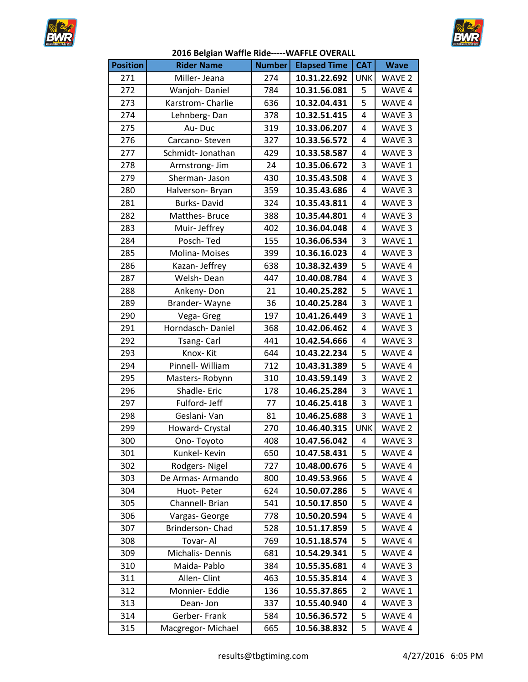



| <b>Position</b> | <b>Rider Name</b>  | <b>Number</b> | <b>Elapsed Time</b> | <b>CAT</b> | <b>Wave</b>       |
|-----------------|--------------------|---------------|---------------------|------------|-------------------|
| 271             | Miller-Jeana       | 274           | 10.31.22.692        | <b>UNK</b> | WAVE <sub>2</sub> |
| 272             | Wanjoh-Daniel      | 784           | 10.31.56.081        | 5          | WAVE 4            |
| 273             | Karstrom-Charlie   | 636           | 10.32.04.431        | 5          | WAVE 4            |
| 274             | Lehnberg-Dan       | 378           | 10.32.51.415        | 4          | WAVE 3            |
| 275             | Au-Duc             | 319           | 10.33.06.207        | 4          | WAVE 3            |
| 276             | Carcano-Steven     | 327           | 10.33.56.572        | 4          | WAVE 3            |
| 277             | Schmidt-Jonathan   | 429           | 10.33.58.587        | 4          | WAVE <sub>3</sub> |
| 278             | Armstrong- Jim     | 24            | 10.35.06.672        | 3          | WAVE 1            |
| 279             | Sherman- Jason     | 430           | 10.35.43.508        | 4          | WAVE 3            |
| 280             | Halverson- Bryan   | 359           | 10.35.43.686        | 4          | WAVE 3            |
| 281             | <b>Burks-David</b> | 324           | 10.35.43.811        | 4          | WAVE 3            |
| 282             | Matthes-Bruce      | 388           | 10.35.44.801        | 4          | WAVE 3            |
| 283             | Muir-Jeffrey       | 402           | 10.36.04.048        | 4          | WAVE 3            |
| 284             | Posch-Ted          | 155           | 10.36.06.534        | 3          | WAVE 1            |
| 285             | Molina-Moises      | 399           | 10.36.16.023        | 4          | WAVE 3            |
| 286             | Kazan- Jeffrey     | 638           | 10.38.32.439        | 5          | WAVE 4            |
| 287             | Welsh-Dean         | 447           | 10.40.08.784        | 4          | WAVE 3            |
| 288             | Ankeny-Don         | 21            | 10.40.25.282        | 5          | WAVE 1            |
| 289             | Brander-Wayne      | 36            | 10.40.25.284        | 3          | WAVE 1            |
| 290             | Vega- Greg         | 197           | 10.41.26.449        | 3          | WAVE 1            |
| 291             | Horndasch-Daniel   | 368           | 10.42.06.462        | 4          | WAVE 3            |
| 292             | Tsang-Carl         | 441           | 10.42.54.666        | 4          | WAVE 3            |
| 293             | Knox-Kit           | 644           | 10.43.22.234        | 5          | WAVE 4            |
| 294             | Pinnell- William   | 712           | 10.43.31.389        | 5          | WAVE 4            |
| 295             | Masters-Robynn     | 310           | 10.43.59.149        | 3          | WAVE <sub>2</sub> |
| 296             | Shadle-Eric        | 178           | 10.46.25.284        | 3          | WAVE 1            |
| 297             | Fulford-Jeff       | 77            | 10.46.25.418        | 3          | WAVE 1            |
| 298             | Geslani-Van        | 81            | 10.46.25.688        | 3          | WAVE 1            |
| 299             | Howard- Crystal    | 270           | 10.46.40.315        | <b>UNK</b> | WAVE <sub>2</sub> |
| 300             | Ono-Toyoto         | 408           | 10.47.56.042        | 4          | WAVE 3            |
| 301             | Kunkel- Kevin      | 650           | 10.47.58.431        | 5          | WAVE 4            |
| 302             | Rodgers-Nigel      | 727           | 10.48.00.676        | 5          | WAVE 4            |
| 303             | De Armas-Armando   | 800           | 10.49.53.966        | 5          | WAVE 4            |
| 304             | Huot-Peter         | 624           | 10.50.07.286        | 5          | WAVE 4            |
| 305             | Channell- Brian    | 541           | 10.50.17.850        | 5          | WAVE 4            |
| 306             | Vargas-George      | 778           | 10.50.20.594        | 5          | WAVE 4            |
| 307             | Brinderson- Chad   | 528           | 10.51.17.859        | 5          | WAVE 4            |
| 308             | Tovar-Al           | 769           | 10.51.18.574        | 5          | WAVE 4            |
| 309             | Michalis-Dennis    | 681           | 10.54.29.341        | 5          | WAVE 4            |
| 310             | Maida-Pablo        | 384           | 10.55.35.681        | 4          | WAVE 3            |
| 311             | Allen-Clint        | 463           | 10.55.35.814        | 4          | WAVE 3            |
| 312             | Monnier- Eddie     | 136           | 10.55.37.865        | 2          | WAVE 1            |
| 313             | Dean-Jon           | 337           | 10.55.40.940        | 4          | WAVE <sub>3</sub> |
| 314             | Gerber-Frank       | 584           | 10.56.36.572        | 5          | WAVE 4            |
| 315             | Macgregor-Michael  | 665           | 10.56.38.832        | 5          | WAVE 4            |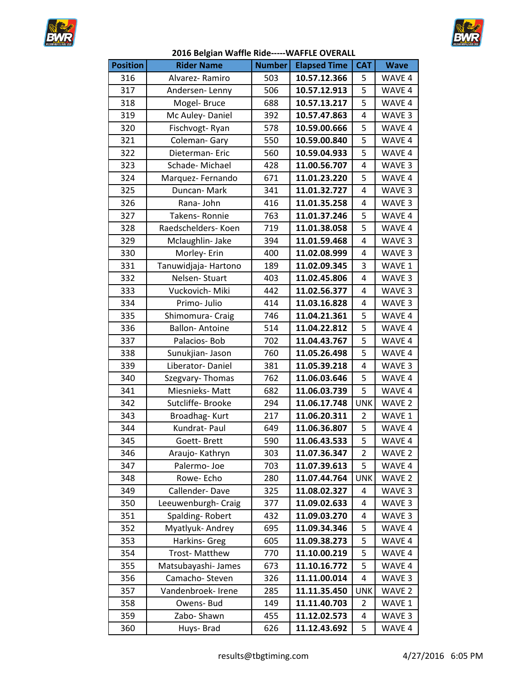



| <b>Position</b> | <b>Rider Name</b>     | <b>Number</b> | <b>Elapsed Time</b> | <b>CAT</b>     | <b>Wave</b>       |
|-----------------|-----------------------|---------------|---------------------|----------------|-------------------|
| 316             | Alvarez-Ramiro        | 503           | 10.57.12.366        | 5              | WAVE 4            |
| 317             | Andersen-Lenny        | 506           | 10.57.12.913        | 5              | WAVE 4            |
| 318             | Mogel-Bruce           | 688           | 10.57.13.217        | 5              | WAVE 4            |
| 319             | Mc Auley-Daniel       | 392           | 10.57.47.863        | 4              | WAVE 3            |
| 320             | Fischvogt-Ryan        | 578           | 10.59.00.666        | 5              | WAVE 4            |
| 321             | Coleman-Gary          | 550           | 10.59.00.840        | 5              | WAVE 4            |
| 322             | Dieterman-Eric        | 560           | 10.59.04.933        | 5              | WAVE 4            |
| 323             | Schade-Michael        | 428           | 11.00.56.707        | 4              | WAVE 3            |
| 324             | Marquez-Fernando      | 671           | 11.01.23.220        | 5              | WAVE 4            |
| 325             | Duncan-Mark           | 341           | 11.01.32.727        | 4              | WAVE 3            |
| 326             | Rana-John             | 416           | 11.01.35.258        | 4              | WAVE 3            |
| 327             | Takens-Ronnie         | 763           | 11.01.37.246        | 5              | WAVE 4            |
| 328             | Raedschelders- Koen   | 719           | 11.01.38.058        | 5              | WAVE 4            |
| 329             | Mclaughlin- Jake      | 394           | 11.01.59.468        | 4              | WAVE 3            |
| 330             | Morley- Erin          | 400           | 11.02.08.999        | 4              | WAVE 3            |
| 331             | Tanuwidjaja-Hartono   | 189           | 11.02.09.345        | 3              | WAVE 1            |
| 332             | Nelsen-Stuart         | 403           | 11.02.45.806        | 4              | WAVE 3            |
| 333             | Vuckovich-Miki        | 442           | 11.02.56.377        | 4              | WAVE 3            |
| 334             | Primo-Julio           | 414           | 11.03.16.828        | 4              | WAVE 3            |
| 335             | Shimomura- Craig      | 746           | 11.04.21.361        | 5              | WAVE 4            |
| 336             | <b>Ballon-Antoine</b> | 514           | 11.04.22.812        | 5              | WAVE 4            |
| 337             | Palacios-Bob          | 702           | 11.04.43.767        | 5              | WAVE 4            |
| 338             | Sunukjian- Jason      | 760           | 11.05.26.498        | 5              | WAVE 4            |
| 339             | Liberator-Daniel      | 381           | 11.05.39.218        | 4              | WAVE 3            |
| 340             | Szegvary-Thomas       | 762           | 11.06.03.646        | 5              | WAVE 4            |
| 341             | Miesnieks-Matt        | 682           | 11.06.03.739        | 5              | WAVE 4            |
| 342             | Sutcliffe- Brooke     | 294           | 11.06.17.748        | <b>UNK</b>     | WAVE 2            |
| 343             | Broadhag-Kurt         | 217           | 11.06.20.311        | 2              | WAVE 1            |
| 344             | Kundrat-Paul          | 649           | 11.06.36.807        | 5              | WAVE 4            |
| 345             | Goett-Brett           | 590           | 11.06.43.533        | $\overline{5}$ | WAVE 4            |
| 346             | Araujo-Kathryn        | 303           | 11.07.36.347        | 2              | WAVE 2            |
| 347             | Palermo-Joe           | 703           | 11.07.39.613        | 5              | WAVE 4            |
| 348             | Rowe-Echo             | 280           | 11.07.44.764        | <b>UNK</b>     | WAVE 2            |
| 349             | Callender-Dave        | 325           | 11.08.02.327        | 4              | WAVE 3            |
| 350             | Leeuwenburgh- Craig   | 377           | 11.09.02.633        | 4              | WAVE 3            |
| 351             | Spalding-Robert       | 432           | 11.09.03.270        | 4              | WAVE <sub>3</sub> |
| 352             | Myatlyuk-Andrey       | 695           | 11.09.34.346        | 5              | WAVE 4            |
| 353             | Harkins- Greg         | 605           | 11.09.38.273        | 5              | WAVE 4            |
| 354             | <b>Trost-Matthew</b>  | 770           | 11.10.00.219        | 5              | WAVE 4            |
| 355             | Matsubayashi-James    | 673           | 11.10.16.772        | 5              | WAVE 4            |
| 356             | Camacho-Steven        | 326           | 11.11.00.014        | 4              | WAVE 3            |
| 357             | Vandenbroek- Irene    | 285           | 11.11.35.450        | <b>UNK</b>     | WAVE 2            |
| 358             | Owens- Bud            | 149           | 11.11.40.703        | 2              | WAVE 1            |
| 359             | Zabo-Shawn            | 455           | 11.12.02.573        | 4              | WAVE 3            |
| 360             | Huys-Brad             | 626           | 11.12.43.692        | 5              | WAVE 4            |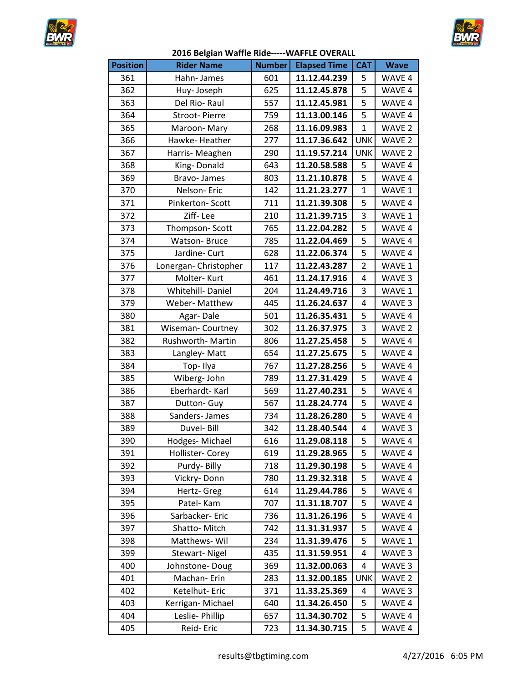



| <b>Position</b> | <b>Rider Name</b>       | <b>Number</b> | <b>Elapsed Time</b> | <b>CAT</b>     | <b>Wave</b>       |
|-----------------|-------------------------|---------------|---------------------|----------------|-------------------|
| 361             | Hahn-James              | 601           | 11.12.44.239        | 5              | WAVE 4            |
| 362             | Huy-Joseph              | 625           | 11.12.45.878        | 5              | WAVE 4            |
| 363             | Del Rio-Raul            | 557           | 11.12.45.981        | 5              | WAVE 4            |
| 364             | Stroot-Pierre           | 759           | 11.13.00.146        | 5              | WAVE 4            |
| 365             | Maroon-Mary             | 268           | 11.16.09.983        | $\mathbf{1}$   | WAVE 2            |
| 366             | Hawke-Heather           | 277           | 11.17.36.642        | <b>UNK</b>     | WAVE 2            |
| 367             | Harris- Meaghen         | 290           | 11.19.57.214        | <b>UNK</b>     | WAVE <sub>2</sub> |
| 368             | King-Donald             | 643           | 11.20.58.588        | 5              | WAVE 4            |
| 369             | Bravo-James             | 803           | 11.21.10.878        | 5              | WAVE 4            |
| 370             | Nelson-Eric             | 142           | 11.21.23.277        | $\mathbf{1}$   | WAVE 1            |
| 371             | Pinkerton-Scott         | 711           | 11.21.39.308        | 5              | WAVE 4            |
| 372             | Ziff-Lee                | 210           | 11.21.39.715        | 3              | WAVE 1            |
| 373             | Thompson-Scott          | 765           | 11.22.04.282        | 5              | WAVE 4            |
| 374             | Watson-Bruce            | 785           | 11.22.04.469        | 5              | WAVE 4            |
| 375             | Jardine- Curt           | 628           | 11.22.06.374        | 5              | WAVE 4            |
| 376             | Lonergan- Christopher   | 117           | 11.22.43.287        | $\overline{2}$ | WAVE 1            |
| 377             | Molter-Kurt             | 461           | 11.24.17.916        | 4              | WAVE 3            |
| 378             | Whitehill-Daniel        | 204           | 11.24.49.716        | 3              | WAVE 1            |
| 379             | Weber- Matthew          | 445           | 11.26.24.637        | 4              | WAVE 3            |
| 380             | Agar-Dale               | 501           | 11.26.35.431        | 5              | WAVE 4            |
| 381             | <b>Wiseman-Courtney</b> | 302           | 11.26.37.975        | 3              | WAVE <sub>2</sub> |
| 382             | Rushworth-Martin        | 806           | 11.27.25.458        | 5              | WAVE 4            |
| 383             | Langley-Matt            | 654           | 11.27.25.675        | 5              | WAVE 4            |
| 384             | Top-Ilya                | 767           | 11.27.28.256        | 5              | WAVE 4            |
| 385             | Wiberg-John             | 789           | 11.27.31.429        | 5              | WAVE 4            |
| 386             | Eberhardt-Karl          | 569           | 11.27.40.231        | 5              | WAVE 4            |
| 387             | Dutton- Guy             | 567           | 11.28.24.774        | 5              | WAVE 4            |
| 388             | Sanders- James          | 734           | 11.28.26.280        | 5              | WAVE 4            |
| 389             | Duvel- Bill             | 342           | 11.28.40.544        | 4              | WAVE 3            |
| 390             | Hodges-Michael          | 616           | 11.29.08.118        | $\overline{5}$ | WAVE 4            |
| 391             | Hollister- Corey        | 619           | 11.29.28.965        | 5              | WAVE 4            |
| 392             | Purdy-Billy             | 718           | 11.29.30.198        | 5              | WAVE 4            |
| 393             | Vickry-Donn             | 780           | 11.29.32.318        | 5              | WAVE 4            |
| 394             | Hertz- Greg             | 614           | 11.29.44.786        | 5              | WAVE 4            |
| 395             | Patel-Kam               | 707           | 11.31.18.707        | 5              | WAVE 4            |
| 396             | Sarbacker-Eric          | 736           | 11.31.26.196        | 5              | WAVE 4            |
| 397             | Shatto-Mitch            | 742           | 11.31.31.937        | 5              | WAVE 4            |
| 398             | Matthews-Wil            | 234           | 11.31.39.476        | 5              | WAVE 1            |
| 399             | <b>Stewart-Nigel</b>    | 435           | 11.31.59.951        | 4              | WAVE 3            |
| 400             | Johnstone-Doug          | 369           | 11.32.00.063        | 4              | WAVE 3            |
| 401             | Machan-Erin             | 283           | 11.32.00.185        | <b>UNK</b>     | WAVE <sub>2</sub> |
| 402             | Ketelhut- Eric          | 371           | 11.33.25.369        | 4              | WAVE 3            |
| 403             | Kerrigan-Michael        | 640           | 11.34.26.450        | 5              | WAVE 4            |
| 404             | Leslie- Phillip         | 657           | 11.34.30.702        | 5              | WAVE 4            |
| 405             | Reid-Eric               | 723           | 11.34.30.715        | 5              | WAVE 4            |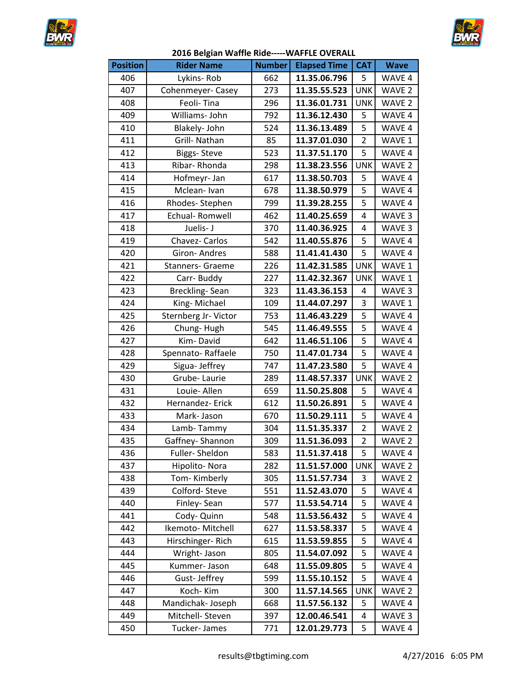



| <b>Position</b> | <b>Rider Name</b>       | <b>Number</b> | <b>Elapsed Time</b> | <b>CAT</b>     | <b>Wave</b>       |
|-----------------|-------------------------|---------------|---------------------|----------------|-------------------|
| 406             | Lykins-Rob              | 662           | 11.35.06.796        | 5              | WAVE 4            |
| 407             | Cohenmeyer-Casey        | 273           | 11.35.55.523        | <b>UNK</b>     | WAVE 2            |
| 408             | Feoli-Tina              | 296           | 11.36.01.731        | <b>UNK</b>     | WAVE <sub>2</sub> |
| 409             | Williams-John           | 792           | 11.36.12.430        | 5              | WAVE 4            |
| 410             | Blakely- John           | 524           | 11.36.13.489        | 5              | WAVE 4            |
| 411             | Grill- Nathan           | 85            | 11.37.01.030        | $\overline{2}$ | WAVE 1            |
| 412             | <b>Biggs-Steve</b>      | 523           | 11.37.51.170        | 5              | WAVE 4            |
| 413             | Ribar-Rhonda            | 298           | 11.38.23.556        | <b>UNK</b>     | WAVE 2            |
| 414             | Hofmeyr-Jan             | 617           | 11.38.50.703        | 5              | WAVE 4            |
| 415             | Mclean-Ivan             | 678           | 11.38.50.979        | 5              | WAVE 4            |
| 416             | Rhodes-Stephen          | 799           | 11.39.28.255        | 5              | WAVE 4            |
| 417             | Echual-Romwell          | 462           | 11.40.25.659        | 4              | WAVE 3            |
| 418             | Juelis- J               | 370           | 11.40.36.925        | 4              | WAVE 3            |
| 419             | Chavez- Carlos          | 542           | 11.40.55.876        | 5              | WAVE 4            |
| 420             | Giron-Andres            | 588           | 11.41.41.430        | 5              | WAVE 4            |
| 421             | <b>Stanners- Graeme</b> | 226           | 11.42.31.585        | <b>UNK</b>     | WAVE 1            |
| 422             | Carr-Buddy              | 227           | 11.42.32.367        | <b>UNK</b>     | WAVE 1            |
| 423             | Breckling-Sean          | 323           | 11.43.36.153        | 4              | WAVE 3            |
| 424             | King-Michael            | 109           | 11.44.07.297        | 3              | WAVE 1            |
| 425             | Sternberg Jr- Victor    | 753           | 11.46.43.229        | 5              | WAVE 4            |
| 426             | Chung-Hugh              | 545           | 11.46.49.555        | 5              | WAVE 4            |
| 427             | Kim-David               | 642           | 11.46.51.106        | 5              | WAVE 4            |
| 428             | Spennato-Raffaele       | 750           | 11.47.01.734        | 5              | WAVE 4            |
| 429             | Sigua- Jeffrey          | 747           | 11.47.23.580        | 5              | WAVE 4            |
| 430             | Grube-Laurie            | 289           | 11.48.57.337        | <b>UNK</b>     | WAVE <sub>2</sub> |
| 431             | Louie- Allen            | 659           | 11.50.25.808        | 5              | WAVE 4            |
| 432             | Hernandez- Erick        | 612           | 11.50.26.891        | 5              | WAVE 4            |
| 433             | Mark-Jason              | 670           | 11.50.29.111        | 5              | WAVE 4            |
| 434             | Lamb-Tammy              | 304           | 11.51.35.337        | 2              | WAVE <sub>2</sub> |
| 435             | Gaffney-Shannon         | 309           | 11.51.36.093        | $\overline{2}$ | WAVE <sub>2</sub> |
| 436             | Fuller-Sheldon          | 583           | 11.51.37.418        | 5              | WAVE 4            |
| 437             | Hipolito-Nora           | 282           | 11.51.57.000        | <b>UNK</b>     | WAVE <sub>2</sub> |
| 438             | Tom-Kimberly            | 305           | 11.51.57.734        | 3              | WAVE 2            |
| 439             | Colford-Steve           | 551           | 11.52.43.070        | 5              | WAVE 4            |
| 440             | Finley-Sean             | 577           | 11.53.54.714        | 5              | WAVE 4            |
| 441             | Cody- Quinn             | 548           | 11.53.56.432        | 5              | WAVE 4            |
| 442             | Ikemoto-Mitchell        | 627           | 11.53.58.337        | 5              | WAVE 4            |
| 443             | Hirschinger-Rich        | 615           | 11.53.59.855        | 5              | WAVE 4            |
| 444             | Wright-Jason            | 805           | 11.54.07.092        | 5              | WAVE 4            |
| 445             | Kummer-Jason            | 648           | 11.55.09.805        | 5              | WAVE 4            |
| 446             | Gust-Jeffrey            | 599           | 11.55.10.152        | 5              | WAVE 4            |
| 447             | Koch-Kim                | 300           | 11.57.14.565        | <b>UNK</b>     | WAVE 2            |
| 448             | Mandichak-Joseph        | 668           | 11.57.56.132        | 5              | WAVE 4            |
| 449             | Mitchell- Steven        | 397           | 12.00.46.541        | 4              | WAVE 3            |
| 450             | Tucker-James            | 771           | 12.01.29.773        | 5              | WAVE 4            |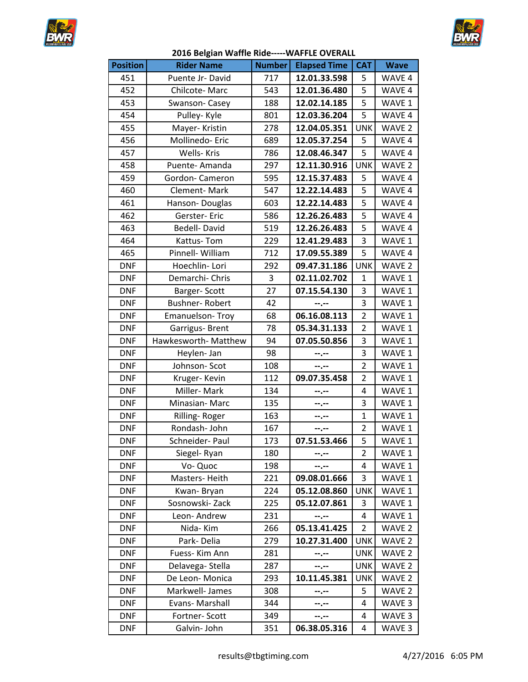



| <b>Position</b> | <b>Rider Name</b>     | <b>Number</b> | <b>Elapsed Time</b> | <b>CAT</b>     | <b>Wave</b>       |
|-----------------|-----------------------|---------------|---------------------|----------------|-------------------|
| 451             | Puente Jr-David       | 717           | 12.01.33.598        | 5              | WAVE 4            |
| 452             | Chilcote-Marc         | 543           | 12.01.36.480        | 5              | WAVE 4            |
| 453             | Swanson-Casey         | 188           | 12.02.14.185        | 5              | WAVE 1            |
| 454             | Pulley-Kyle           | 801           | 12.03.36.204        | 5              | WAVE 4            |
| 455             | Mayer-Kristin         | 278           | 12.04.05.351        | <b>UNK</b>     | WAVE <sub>2</sub> |
| 456             | Mollinedo-Eric        | 689           | 12.05.37.254        | 5              | WAVE 4            |
| 457             | <b>Wells-Kris</b>     | 786           | 12.08.46.347        | 5              | WAVE 4            |
| 458             | Puente-Amanda         | 297           | 12.11.30.916        | <b>UNK</b>     | WAVE 2            |
| 459             | Gordon-Cameron        | 595           | 12.15.37.483        | 5              | WAVE 4            |
| 460             | Clement-Mark          | 547           | 12.22.14.483        | 5              | WAVE 4            |
| 461             | Hanson-Douglas        | 603           | 12.22.14.483        | 5              | WAVE 4            |
| 462             | Gerster-Eric          | 586           | 12.26.26.483        | 5              | WAVE 4            |
| 463             | Bedell-David          | 519           | 12.26.26.483        | 5              | WAVE 4            |
| 464             | Kattus-Tom            | 229           | 12.41.29.483        | 3              | WAVE 1            |
| 465             | Pinnell- William      | 712           | 17.09.55.389        | 5              | WAVE 4            |
| <b>DNF</b>      | Hoechlin-Lori         | 292           | 09.47.31.186        | <b>UNK</b>     | WAVE <sub>2</sub> |
| <b>DNF</b>      | Demarchi- Chris       | 3             | 02.11.02.702        | $\mathbf{1}$   | WAVE 1            |
| <b>DNF</b>      | Barger-Scott          | 27            | 07.15.54.130        | 3              | WAVE 1            |
| <b>DNF</b>      | <b>Bushner-Robert</b> | 42            | $-1$                | 3              | WAVE 1            |
| <b>DNF</b>      | Emanuelson-Troy       | 68            | 06.16.08.113        | $\overline{2}$ | WAVE 1            |
| <b>DNF</b>      | Garrigus-Brent        | 78            | 05.34.31.133        | $\overline{2}$ | WAVE 1            |
| <b>DNF</b>      | Hawkesworth- Matthew  | 94            | 07.05.50.856        | 3              | WAVE 1            |
| <b>DNF</b>      | Heylen- Jan           | 98            | $-1 - 1 - 1 = 0$    | 3              | WAVE 1            |
| <b>DNF</b>      | Johnson-Scot          | 108           | $\ddotsc$           | $\overline{2}$ | WAVE 1            |
| <b>DNF</b>      | Kruger-Kevin          | 112           | 09.07.35.458        | $\overline{2}$ | WAVE 1            |
| <b>DNF</b>      | Miller-Mark           | 134           | --.--               | 4              | WAVE 1            |
| <b>DNF</b>      | Minasian-Marc         | 135           | --.--               | 3              | WAVE 1            |
| <b>DNF</b>      | Rilling-Roger         | 163           | $- - - - -$         | $\mathbf{1}$   | WAVE 1            |
| <b>DNF</b>      | Rondash-John          | 167           | $-1$ .              | $\overline{2}$ | WAVE 1            |
| DNF             | Schneider- Paul       | 173           | 07.51.53.466        | 5              | WAVE 1            |
| <b>DNF</b>      | Siegel-Ryan           | 180           | --.--               | $\overline{2}$ | WAVE 1            |
| <b>DNF</b>      | Vo-Quoc               | 198           | --.--               | 4              | WAVE 1            |
| <b>DNF</b>      | Masters-Heith         | 221           | 09.08.01.666        | 3              | WAVE 1            |
| <b>DNF</b>      | Kwan-Bryan            | 224           | 05.12.08.860        | <b>UNK</b>     | WAVE 1            |
| <b>DNF</b>      | Sosnowski-Zack        | 225           | 05.12.07.861        | 3              | WAVE 1            |
| <b>DNF</b>      | Leon-Andrew           | 231           | $-1 - 1 - 1 = 0$    | 4              | WAVE 1            |
| <b>DNF</b>      | Nida-Kim              | 266           | 05.13.41.425        | $\overline{2}$ | WAVE <sub>2</sub> |
| <b>DNF</b>      | Park-Delia            | 279           | 10.27.31.400        | <b>UNK</b>     | WAVE <sub>2</sub> |
| <b>DNF</b>      | Fuess- Kim Ann        | 281           | --.--               | <b>UNK</b>     | WAVE <sub>2</sub> |
| <b>DNF</b>      | Delavega-Stella       | 287           | --.--               | <b>UNK</b>     | WAVE 2            |
| <b>DNF</b>      | De Leon-Monica        | 293           | 10.11.45.381        | <b>UNK</b>     | WAVE <sub>2</sub> |
| <b>DNF</b>      | Markwell- James       | 308           | --.--               | 5              | WAVE <sub>2</sub> |
| <b>DNF</b>      | Evans- Marshall       | 344           | --.--               | 4              | WAVE 3            |
| <b>DNF</b>      | Fortner-Scott         | 349           | --.--               | 4              | WAVE 3            |
| <b>DNF</b>      | Galvin- John          | 351           | 06.38.05.316        | 4              | WAVE 3            |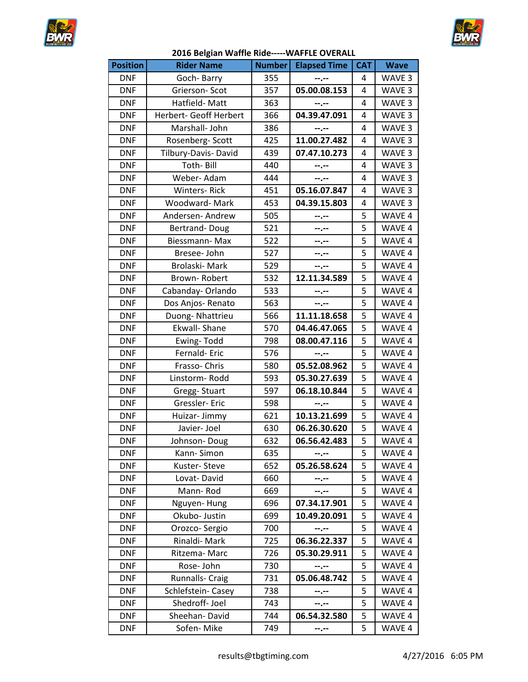



| <b>Position</b> | <b>Rider Name</b>      | <b>Number</b> | <b>Elapsed Time</b> | <b>CAT</b>     | <b>Wave</b>       |
|-----------------|------------------------|---------------|---------------------|----------------|-------------------|
| <b>DNF</b>      | Goch-Barry             | 355           | $-1 - 1 - 1 = 0$    | 4              | WAVE 3            |
| <b>DNF</b>      | Grierson-Scot          | 357           | 05.00.08.153        | 4              | WAVE <sub>3</sub> |
| <b>DNF</b>      | Hatfield-Matt          | 363           | --.--               | 4              | WAVE 3            |
| <b>DNF</b>      | Herbert- Geoff Herbert | 366           | 04.39.47.091        | 4              | WAVE 3            |
| <b>DNF</b>      | Marshall- John         | 386           | --.--               | 4              | WAVE 3            |
| <b>DNF</b>      | Rosenberg-Scott        | 425           | 11.00.27.482        | 4              | WAVE 3            |
| <b>DNF</b>      | Tilbury-Davis- David   | 439           | 07.47.10.273        | 4              | WAVE 3            |
| <b>DNF</b>      | Toth-Bill              | 440           | --.--               | 4              | WAVE 3            |
| <b>DNF</b>      | Weber-Adam             | 444           | --.--               | 4              | WAVE 3            |
| <b>DNF</b>      | <b>Winters-Rick</b>    | 451           | 05.16.07.847        | 4              | WAVE 3            |
| <b>DNF</b>      | Woodward-Mark          | 453           | 04.39.15.803        | 4              | WAVE 3            |
| <b>DNF</b>      | Andersen-Andrew        | 505           | --.--               | 5              | WAVE 4            |
| <b>DNF</b>      | Bertrand-Doug          | 521           | $-1 - 1 - 1 = 0$    | 5              | WAVE 4            |
| <b>DNF</b>      | Biessmann-Max          | 522           | $- - - - -$         | 5              | WAVE 4            |
| <b>DNF</b>      | Bresee- John           | 527           | $- - - - -$         | 5              | WAVE 4            |
| <b>DNF</b>      | Brolaski-Mark          | 529           | $-1 - 1 - 1 = 0$    | 5              | WAVE 4            |
| <b>DNF</b>      | Brown-Robert           | 532           | 12.11.34.589        | 5              | WAVE 4            |
| <b>DNF</b>      | Cabanday-Orlando       | 533           | $-1 - 1 - 1 = 0$    | 5              | WAVE 4            |
| <b>DNF</b>      | Dos Anjos-Renato       | 563           | $-1 - 1 - 1 = 0$    | 5              | WAVE 4            |
| <b>DNF</b>      | Duong-Nhattrieu        | 566           | 11.11.18.658        | 5              | WAVE 4            |
| <b>DNF</b>      | Ekwall- Shane          | 570           | 04.46.47.065        | 5              | WAVE 4            |
| <b>DNF</b>      | Ewing-Todd             | 798           | 08.00.47.116        | 5              | WAVE 4            |
| <b>DNF</b>      | Fernald-Eric           | 576           | $-1 - 1 - 1 = 0$    | 5              | WAVE 4            |
| <b>DNF</b>      | Frasso-Chris           | 580           | 05.52.08.962        | 5              | WAVE 4            |
| <b>DNF</b>      | Linstorm-Rodd          | 593           | 05.30.27.639        | 5              | WAVE 4            |
| <b>DNF</b>      | Gregg-Stuart           | 597           | 06.18.10.844        | 5              | WAVE 4            |
| <b>DNF</b>      | Gressler-Eric          | 598           | --,--               | 5              | WAVE 4            |
| <b>DNF</b>      | Huizar-Jimmy           | 621           | 10.13.21.699        | 5              | WAVE 4            |
| <b>DNF</b>      | Javier- Joel           | 630           | 06.26.30.620        | 5              | WAVE 4            |
| <b>DNF</b>      | Johnson-Doug           | 632           | 06.56.42.483        | $\overline{5}$ | WAVE 4            |
| <b>DNF</b>      | Kann-Simon             | 635           | --.--               | 5              | WAVE 4            |
| <b>DNF</b>      | Kuster-Steve           | 652           | 05.26.58.624        | 5              | WAVE 4            |
| <b>DNF</b>      | Lovat-David            | 660           | --.--               | 5              | WAVE 4            |
| <b>DNF</b>      | Mann-Rod               | 669           | --.--               | 5              | WAVE 4            |
| <b>DNF</b>      | Nguyen-Hung            | 696           | 07.34.17.901        | 5              | WAVE 4            |
| <b>DNF</b>      | Okubo- Justin          | 699           | 10.49.20.091        | 5              | WAVE 4            |
| <b>DNF</b>      | Orozco-Sergio          | 700           | $-1 - 1 - 1 = 0$    | 5              | WAVE 4            |
| <b>DNF</b>      | Rinaldi-Mark           | 725           | 06.36.22.337        | 5              | WAVE 4            |
| <b>DNF</b>      | Ritzema-Marc           | 726           | 05.30.29.911        | 5              | WAVE 4            |
| <b>DNF</b>      | Rose-John              | 730           | $- - - - -$         | 5              | WAVE 4            |
| <b>DNF</b>      | Runnalls- Craig        | 731           | 05.06.48.742        | 5              | WAVE 4            |
| <b>DNF</b>      | Schlefstein- Casey     | 738           | --.--               | 5              | WAVE 4            |
| <b>DNF</b>      | Shedroff-Joel          | 743           | --.--               | 5              | WAVE 4            |
| <b>DNF</b>      | Sheehan-David          | 744           | 06.54.32.580        | 5              | WAVE 4            |
| <b>DNF</b>      | Sofen-Mike             | 749           | $- - - - -$         | 5              | WAVE 4            |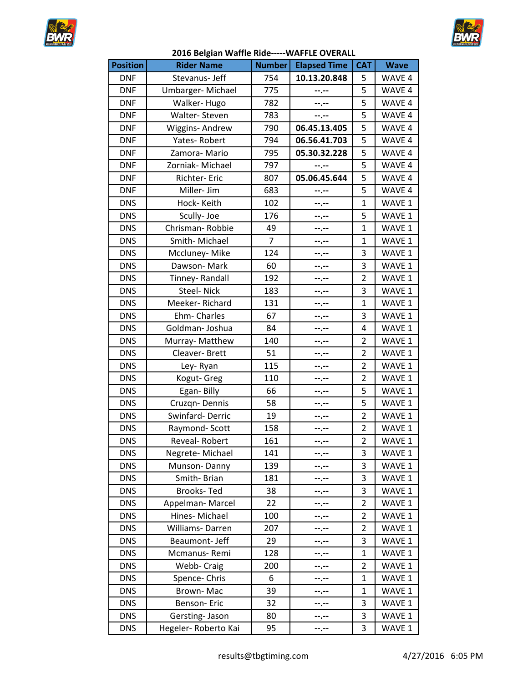



| <b>Position</b> | <b>Rider Name</b>   | <b>Number</b>  | <b>Elapsed Time</b> | <b>CAT</b>     | <b>Wave</b> |
|-----------------|---------------------|----------------|---------------------|----------------|-------------|
| <b>DNF</b>      | Stevanus- Jeff      | 754            | 10.13.20.848        | 5              | WAVE 4      |
| <b>DNF</b>      | Umbarger-Michael    | 775            | --.--               | 5              | WAVE 4      |
| <b>DNF</b>      | Walker-Hugo         | 782            | --.--               | 5              | WAVE 4      |
| <b>DNF</b>      | Walter-Steven       | 783            | --.--               | 5              | WAVE 4      |
| <b>DNF</b>      | Wiggins-Andrew      | 790            | 06.45.13.405        | 5              | WAVE 4      |
| <b>DNF</b>      | Yates-Robert        | 794            | 06.56.41.703        | 5              | WAVE 4      |
| <b>DNF</b>      | Zamora-Mario        | 795            | 05.30.32.228        | 5              | WAVE 4      |
| <b>DNF</b>      | Zorniak- Michael    | 797            | $- - - - -$         | 5              | WAVE 4      |
| <b>DNF</b>      | Richter- Eric       | 807            | 05.06.45.644        | 5              | WAVE 4      |
| <b>DNF</b>      | Miller- Jim         | 683            | --.--               | 5              | WAVE 4      |
| <b>DNS</b>      | Hock-Keith          | 102            | --.--               | 1              | WAVE 1      |
| <b>DNS</b>      | Scully-Joe          | 176            | --.--               | 5              | WAVE 1      |
| <b>DNS</b>      | Chrisman-Robbie     | 49             | --.--               | $\mathbf{1}$   | WAVE 1      |
| <b>DNS</b>      | Smith-Michael       | $\overline{7}$ | --.--               | 1              | WAVE 1      |
| <b>DNS</b>      | Mccluney-Mike       | 124            | --.--               | 3              | WAVE 1      |
| <b>DNS</b>      | Dawson-Mark         | 60             | --.--               | 3              | WAVE 1      |
| <b>DNS</b>      | Tinney-Randall      | 192            | --.--               | 2              | WAVE 1      |
| <b>DNS</b>      | <b>Steel-Nick</b>   | 183            | --.--               | 3              | WAVE 1      |
| <b>DNS</b>      | Meeker-Richard      | 131            | --.--               | $\mathbf{1}$   | WAVE 1      |
| <b>DNS</b>      | Ehm-Charles         | 67             | --.--               | 3              | WAVE 1      |
| <b>DNS</b>      | Goldman-Joshua      | 84             | --.--               | 4              | WAVE 1      |
| <b>DNS</b>      | Murray- Matthew     | 140            | --.--               | 2              | WAVE 1      |
| <b>DNS</b>      | Cleaver-Brett       | 51             | --.--               | 2              | WAVE 1      |
| <b>DNS</b>      | Ley-Ryan            | 115            | --.--               | 2              | WAVE 1      |
| <b>DNS</b>      | Kogut- Greg         | 110            | --.--               | 2              | WAVE 1      |
| <b>DNS</b>      | Egan-Billy          | 66             | --.--               | 5              | WAVE 1      |
| <b>DNS</b>      | Cruzgn-Dennis       | 58             | --.--               | 5              | WAVE 1      |
| <b>DNS</b>      | Swinfard-Derric     | 19             | --.--               | $\overline{2}$ | WAVE 1      |
| <b>DNS</b>      | Raymond-Scott       | 158            | --.--               | $\overline{2}$ | WAVE 1      |
| <b>DNS</b>      | Reveal-Robert       | 161            | --.--               | $\overline{2}$ | WAVE 1      |
| <b>DNS</b>      | Negrete-Michael     | 141            | --.--               | 3              | WAVE 1      |
| <b>DNS</b>      | Munson-Danny        | 139            | --.--               | 3              | WAVE 1      |
| <b>DNS</b>      | Smith-Brian         | 181            |                     | 3              | WAVE 1      |
| <b>DNS</b>      | <b>Brooks-Ted</b>   | 38             | --.--               | 3              | WAVE 1      |
| <b>DNS</b>      | Appelman-Marcel     | 22             | --.--               | 2              | WAVE 1      |
| <b>DNS</b>      | Hines-Michael       | 100            | --.--               | 2              | WAVE 1      |
| <b>DNS</b>      | Williams-Darren     | 207            | --.--               | 2              | WAVE 1      |
| <b>DNS</b>      | Beaumont- Jeff      | 29             | --.--               | 3              | WAVE 1      |
| <b>DNS</b>      | Mcmanus-Remi        | 128            | --.--               | 1              | WAVE 1      |
| <b>DNS</b>      | Webb- Craig         | 200            | ……                  | 2              | WAVE 1      |
| <b>DNS</b>      | Spence-Chris        | 6              |                     | 1              | WAVE 1      |
| <b>DNS</b>      | Brown-Mac           | 39             | --.--               | 1              | WAVE 1      |
| <b>DNS</b>      | Benson-Eric         | 32             | --.--               | 3              | WAVE 1      |
| <b>DNS</b>      | Gersting-Jason      | 80             | --.--               | 3              | WAVE 1      |
| <b>DNS</b>      | Hegeler-Roberto Kai | 95             | --.--               | 3              | WAVE 1      |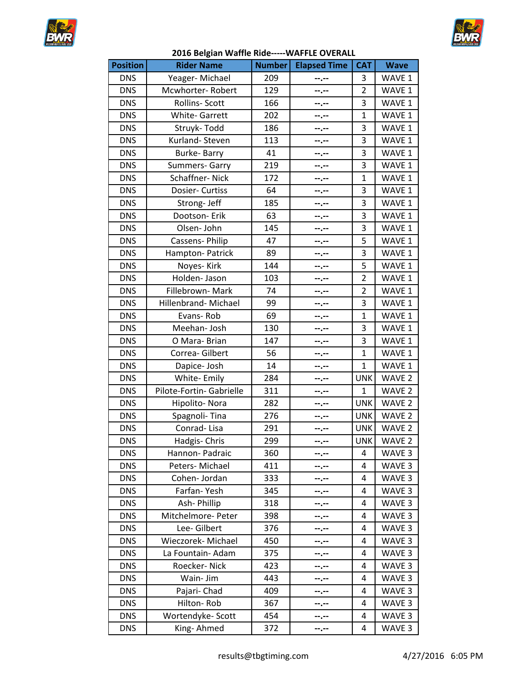



| <b>Position</b> | <b>Rider Name</b>        | <b>Number</b> | <b>Elapsed Time</b> | <b>CAT</b>     | <b>Wave</b>       |
|-----------------|--------------------------|---------------|---------------------|----------------|-------------------|
| <b>DNS</b>      | Yeager-Michael           | 209           | --.--               | 3              | WAVE 1            |
| <b>DNS</b>      | Mcwhorter-Robert         | 129           | --.--               | $\overline{2}$ | WAVE 1            |
| <b>DNS</b>      | Rollins- Scott           | 166           | --.--               | 3              | WAVE 1            |
| <b>DNS</b>      | <b>White-Garrett</b>     | 202           | --.--               | $\mathbf{1}$   | WAVE 1            |
| <b>DNS</b>      | Struyk-Todd              | 186           | --.--               | 3              | WAVE 1            |
| <b>DNS</b>      | Kurland-Steven           | 113           | $- - - - -$         | 3              | WAVE 1            |
| <b>DNS</b>      | Burke-Barry              | 41            | --.--               | 3              | WAVE 1            |
| <b>DNS</b>      | Summers- Garry           | 219           | --.--               | 3              | WAVE 1            |
| <b>DNS</b>      | Schaffner-Nick           | 172           | --.--               | $\mathbf{1}$   | WAVE 1            |
| <b>DNS</b>      | Dosier- Curtiss          | 64            | --.--               | 3              | WAVE 1            |
| <b>DNS</b>      | Strong- Jeff             | 185           | --.--               | 3              | WAVE 1            |
| <b>DNS</b>      | Dootson- Erik            | 63            | --.--               | 3              | WAVE 1            |
| <b>DNS</b>      | Olsen-John               | 145           | --.--               | 3              | WAVE 1            |
| <b>DNS</b>      | Cassens- Philip          | 47            | --.--               | 5              | WAVE 1            |
| <b>DNS</b>      | Hampton-Patrick          | 89            | --.--               | 3              | WAVE 1            |
| <b>DNS</b>      | Noyes-Kirk               | 144           | --.--               | 5              | WAVE 1            |
| <b>DNS</b>      | Holden-Jason             | 103           | --.--               | $\overline{2}$ | WAVE 1            |
| <b>DNS</b>      | Fillebrown-Mark          | 74            | --.--               | 2              | WAVE 1            |
| <b>DNS</b>      | Hillenbrand- Michael     | 99            | --.--               | 3              | WAVE 1            |
| <b>DNS</b>      | Evans-Rob                | 69            | --.--               | $\mathbf{1}$   | WAVE 1            |
| <b>DNS</b>      | Meehan- Josh             | 130           | --.--               | 3              | WAVE 1            |
| <b>DNS</b>      | O Mara-Brian             | 147           | --.--               | 3              | WAVE 1            |
| <b>DNS</b>      | Correa-Gilbert           | 56            | --.--               | $\mathbf{1}$   | WAVE 1            |
| <b>DNS</b>      | Dapice- Josh             | 14            | --.--               | $\mathbf{1}$   | WAVE 1            |
| <b>DNS</b>      | White-Emily              | 284           | $- - - - -$         | <b>UNK</b>     | WAVE <sub>2</sub> |
| <b>DNS</b>      | Pilote-Fortin- Gabrielle | 311           | --.--               | $\mathbf 1$    | WAVE <sub>2</sub> |
| <b>DNS</b>      | Hipolito-Nora            | 282           | --.--               | <b>UNK</b>     | WAVE <sub>2</sub> |
| <b>DNS</b>      | Spagnoli-Tina            | 276           | --.--               | <b>UNK</b>     | WAVE <sub>2</sub> |
| <b>DNS</b>      | Conrad-Lisa              | 291           | --.--               | <b>UNK</b>     | WAVE <sub>2</sub> |
| <b>DNS</b>      | Hadgis- Chris            | 299           | --.--               | <b>UNK</b>     | WAVE <sub>2</sub> |
| <b>DNS</b>      | Hannon- Padraic          | 360           | --.--               | 4              | WAVE <sub>3</sub> |
| <b>DNS</b>      | Peters-Michael           | 411           | --.--               | 4              | WAVE <sub>3</sub> |
| <b>DNS</b>      | Cohen-Jordan             | 333           | --.--               | 4              | WAVE <sub>3</sub> |
| <b>DNS</b>      | Farfan-Yesh              | 345           | --.--               | 4              | WAVE <sub>3</sub> |
| <b>DNS</b>      | Ash-Phillip              | 318           | --.--               | 4              | WAVE <sub>3</sub> |
| <b>DNS</b>      | Mitchelmore- Peter       | 398           | ┄.╌                 | 4              | WAVE 3            |
| <b>DNS</b>      | Lee-Gilbert              | 376           | --.--               | 4              | WAVE <sub>3</sub> |
| <b>DNS</b>      | Wieczorek- Michael       | 450           | --.--               | 4              | WAVE <sub>3</sub> |
| <b>DNS</b>      | La Fountain- Adam        | 375           | --.--               | 4              | WAVE <sub>3</sub> |
| <b>DNS</b>      | Roecker-Nick             | 423           | --.--               | 4              | WAVE <sub>3</sub> |
| <b>DNS</b>      | Wain- Jim                | 443           | ┄.╌                 | 4              | WAVE <sub>3</sub> |
| <b>DNS</b>      | Pajari- Chad             | 409           | --.--               | 4              | WAVE <sub>3</sub> |
| <b>DNS</b>      | Hilton-Rob               | 367           | ┅.┄                 | 4              | WAVE <sub>3</sub> |
| <b>DNS</b>      | Wortendyke-Scott         | 454           | --.--               | 4              | WAVE 3            |
| <b>DNS</b>      | King-Ahmed               | 372           | --.--               | 4              | WAVE <sub>3</sub> |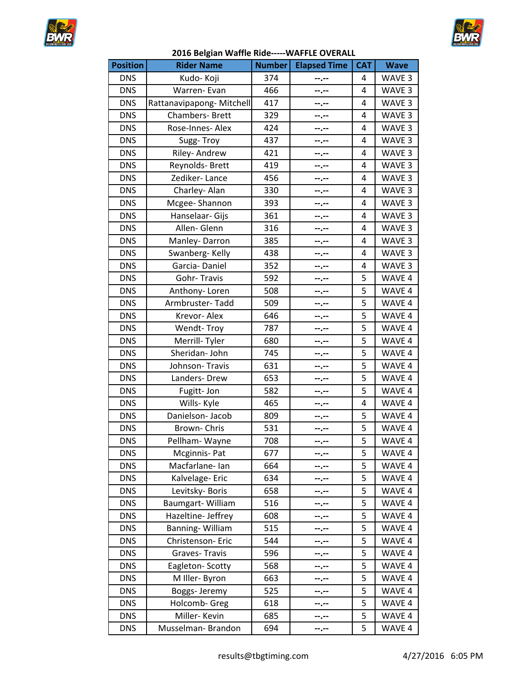



| 2016 Belgian Waffle Ride-----WAFFLE OVERALL |
|---------------------------------------------|
|---------------------------------------------|

| <b>Position</b> | <b>Rider Name</b>        | <b>Number</b> | <b>Elapsed Time</b> | <b>CAT</b> | <b>Wave</b>       |
|-----------------|--------------------------|---------------|---------------------|------------|-------------------|
| <b>DNS</b>      | Kudo- Koji               | 374           | --.--               | 4          | WAVE 3            |
| <b>DNS</b>      | Warren- Evan             | 466           | --.--               | 4          | WAVE <sub>3</sub> |
| <b>DNS</b>      | Rattanavipapong-Mitchell | 417           | --.--               | 4          | WAVE 3            |
| <b>DNS</b>      | Chambers- Brett          | 329           | --.--               | 4          | WAVE 3            |
| <b>DNS</b>      | Rose-Innes- Alex         | 424           | --.--               | 4          | WAVE <sub>3</sub> |
| <b>DNS</b>      | Sugg-Troy                | 437           | --.--               | 4          | WAVE 3            |
| <b>DNS</b>      | Riley-Andrew             | 421           | --.--               | 4          | WAVE <sub>3</sub> |
| <b>DNS</b>      | Reynolds- Brett          | 419           | --.--               | 4          | WAVE 3            |
| <b>DNS</b>      | Zediker-Lance            | 456           | --.--               | 4          | WAVE <sub>3</sub> |
| <b>DNS</b>      | Charley-Alan             | 330           | --.--               | 4          | WAVE 3            |
| <b>DNS</b>      | Mcgee-Shannon            | 393           | --.--               | 4          | WAVE 3            |
| <b>DNS</b>      | Hanselaar- Gijs          | 361           | --.--               | 4          | WAVE <sub>3</sub> |
| <b>DNS</b>      | Allen-Glenn              | 316           | --.--               | 4          | WAVE <sub>3</sub> |
| <b>DNS</b>      | Manley-Darron            | 385           | --.--               | 4          | WAVE <sub>3</sub> |
| <b>DNS</b>      | Swanberg-Kelly           | 438           | --.--               | 4          | WAVE 3            |
| <b>DNS</b>      | Garcia-Daniel            | 352           | --.--               | 4          | WAVE 3            |
| <b>DNS</b>      | Gohr-Travis              | 592           | --.--               | 5          | WAVE 4            |
| <b>DNS</b>      | Anthony-Loren            | 508           | --.--               | 5          | WAVE 4            |
| <b>DNS</b>      | Armbruster-Tadd          | 509           | --.--               | 5          | WAVE 4            |
| <b>DNS</b>      | Krevor-Alex              | 646           | --.--               | 5          | WAVE 4            |
| <b>DNS</b>      | Wendt-Troy               | 787           | --.--               | 5          | WAVE 4            |
| <b>DNS</b>      | Merrill-Tyler            | 680           | --.--               | 5          | WAVE 4            |
| <b>DNS</b>      | Sheridan- John           | 745           | --.--               | 5          | WAVE 4            |
| <b>DNS</b>      | Johnson-Travis           | 631           | --.--               | 5          | WAVE 4            |
| <b>DNS</b>      | Landers-Drew             | 653           | --.--               | 5          | WAVE 4            |
| <b>DNS</b>      | Fugitt-Jon               | 582           | --.--               | 5          | WAVE 4            |
| <b>DNS</b>      | Wills- Kyle              | 465           | --.--               | 4          | WAVE 4            |
| <b>DNS</b>      | Danielson- Jacob         | 809           | --.--               | 5          | WAVE 4            |
| <b>DNS</b>      | Brown-Chris              | 531           | --.--               | 5          | WAVE 4            |
| <b>DNS</b>      | Pellham-Wayne            | 708           | --.--               | 5          | WAVE 4            |
| <b>DNS</b>      | Mcginnis-Pat             | 677           | --.--               | 5          | WAVE 4            |
| <b>DNS</b>      | Macfarlane-lan           | 664           | --.--               | 5          | WAVE 4            |
| <b>DNS</b>      | Kalvelage-Eric           | 634           | --.--               | 5          | WAVE 4            |
| <b>DNS</b>      | Levitsky-Boris           | 658           | ┅.┄                 | 5          | WAVE 4            |
| <b>DNS</b>      | Baumgart-William         | 516           | --.--               | 5          | WAVE 4            |
| <b>DNS</b>      | Hazeltine- Jeffrey       | 608           | ┄.╌                 | 5          | WAVE 4            |
| <b>DNS</b>      | Banning-William          | 515           | --.--               | 5          | WAVE 4            |
| <b>DNS</b>      | Christenson-Eric         | 544           | --.--               | 5          | WAVE 4            |
| <b>DNS</b>      | Graves-Travis            | 596           | --.--               | 5          | WAVE 4            |
| <b>DNS</b>      | Eagleton-Scotty          | 568           | --.--               | 5          | WAVE 4            |
| <b>DNS</b>      | M Iller- Byron           | 663           | --.--               | 5          | WAVE 4            |
| <b>DNS</b>      | Boggs- Jeremy            | 525           | --.--               | 5          | WAVE 4            |
| <b>DNS</b>      | Holcomb- Greg            | 618           | --.--               | 5          | WAVE 4            |
| <b>DNS</b>      | Miller-Kevin             | 685           | --.--               | 5          | WAVE 4            |
| <b>DNS</b>      | Musselman-Brandon        | 694           | --.--               | 5          | WAVE 4            |